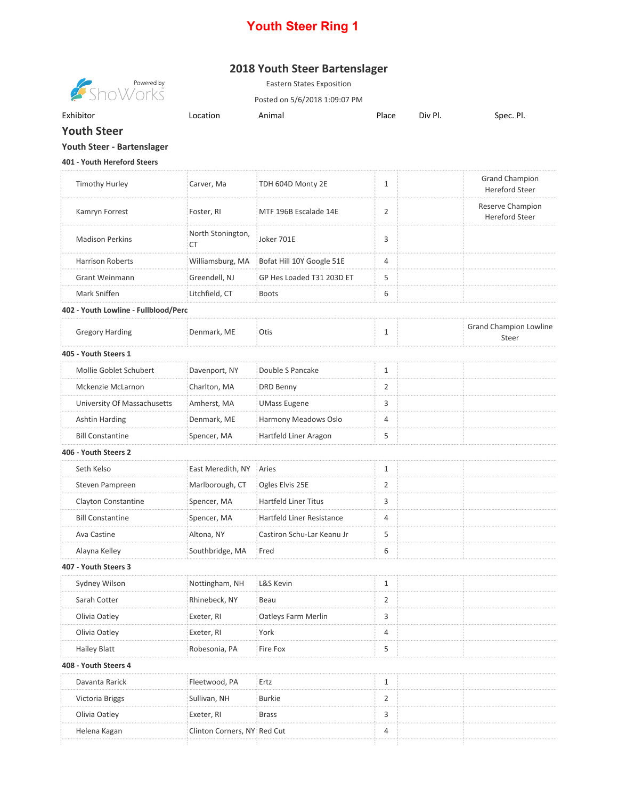## **Youth Steer Ring 1**

## **2018 Youth Steer Bartenslager**



Eastern States Exposition

Posted on 5/6/2018 1:09:07 PM

Exhibitor **Exhibitor** Construction Animal Place Div Pl. Spec. Pl. Spec. Pl.

**Youth Steer**

## **Youth Steer - Bartenslager**

**401 - Youth Hereford Steers**

| <b>Timothy Hurley</b>                | Carver, Ma                     | TDH 604D Monty 2E           | 1              | <b>Grand Champion</b><br><b>Hereford Steer</b> |
|--------------------------------------|--------------------------------|-----------------------------|----------------|------------------------------------------------|
| Kamryn Forrest                       | Foster, RI                     | MTF 196B Escalade 14E       | $\overline{2}$ | Reserve Champion<br>Hereford Steer             |
| <b>Madison Perkins</b>               | North Stonington,<br><b>CT</b> | Joker 701E                  | 3              |                                                |
| <b>Harrison Roberts</b>              | Williamsburg, MA               | Bofat Hill 10Y Google 51E   | 4              |                                                |
| <b>Grant Weinmann</b>                | Greendell, NJ                  | GP Hes Loaded T31 203D ET   | 5              |                                                |
| Mark Sniffen                         | Litchfield, CT                 | <b>Boots</b>                | 6              |                                                |
| 402 - Youth Lowline - Fullblood/Perc |                                |                             |                |                                                |
| <b>Gregory Harding</b>               | Denmark, ME                    | Otis                        | 1              | <b>Grand Champion Lowline</b><br>Steer         |
| 405 - Youth Steers 1                 |                                |                             |                |                                                |
| Mollie Goblet Schubert               | Davenport, NY                  | Double S Pancake            | $\mathbf{1}$   |                                                |
| Mckenzie McLarnon                    | Charlton, MA                   | DRD Benny                   | 2              |                                                |
| University Of Massachusetts          | Amherst, MA                    | <b>UMass Eugene</b>         | 3              |                                                |
| Ashtin Harding                       | Denmark, ME                    | Harmony Meadows Oslo        | 4              |                                                |
| <b>Bill Constantine</b>              | Spencer, MA                    | Hartfeld Liner Aragon       | 5              |                                                |
| 406 - Youth Steers 2                 |                                |                             |                |                                                |
| Seth Kelso                           | East Meredith, NY              | Aries                       | 1              |                                                |
| Steven Pampreen                      | Marlborough, CT                | Ogles Elvis 25E             | 2              |                                                |
| Clayton Constantine                  | Spencer, MA                    | <b>Hartfeld Liner Titus</b> | 3              |                                                |
| <b>Bill Constantine</b>              | Spencer, MA                    | Hartfeld Liner Resistance   | 4              |                                                |
| Ava Castine                          | Altona, NY                     | Castiron Schu-Lar Keanu Jr  | 5              |                                                |
| Alayna Kelley                        | Southbridge, MA                | Fred                        | 6              |                                                |
| 407 - Youth Steers 3                 |                                |                             |                |                                                |
| Sydney Wilson                        | Nottingham, NH                 | L&S Kevin                   | 1              |                                                |
| Sarah Cotter                         | Rhinebeck, NY                  | Beau                        | 2              |                                                |
| Olivia Oatley                        | Exeter, RI                     | Oatleys Farm Merlin         | 3              |                                                |
| Olivia Oatley                        | Exeter, RI                     | York                        | 4              |                                                |
| <b>Hailey Blatt</b>                  | Robesonia, PA                  | Fire Fox                    | 5              |                                                |
| 408 - Youth Steers 4                 |                                |                             |                |                                                |
| Davanta Rarick                       | Fleetwood, PA                  | Ertz                        | 1              |                                                |
| Victoria Briggs                      | Sullivan, NH                   | <b>Burkie</b>               | 2              |                                                |
| Olivia Oatley                        | Exeter, RI                     | <b>Brass</b>                | 3              |                                                |
| Helena Kagan                         | Clinton Corners, NY Red Cut    |                             | 4              |                                                |